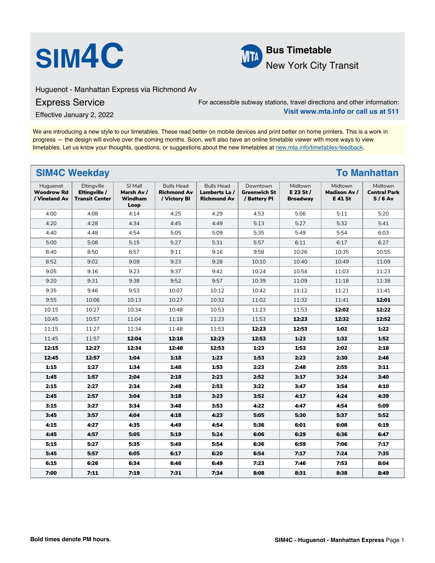



Huguenot - Manhattan Express via Richmond Av

Express Service

For accessible subway stations, travel directions and other information: **Visit www.mta.info or call us at 511**

Effective January 2, 2022

We are introducing a new style to our timetables. These read better on mobile devices and print better on home printers. This is a work in progress — the design will evolve over the coming months. Soon, we'll also have an online timetable viewer with more ways to view timetables. Let us know your thoughts, questions, or suggestions about the new timetables at [new.mta.info/timetables-feedback](https://new.mta.info/timetables-feedback).

|                                                | <b>SIM4C Weekday</b><br><b>To Manhattan</b>           |                                          |                                                         |                                                          |                                                 |                                           |                                           |                                            |  |  |
|------------------------------------------------|-------------------------------------------------------|------------------------------------------|---------------------------------------------------------|----------------------------------------------------------|-------------------------------------------------|-------------------------------------------|-------------------------------------------|--------------------------------------------|--|--|
| Huguenot<br><b>Woodrow Rd</b><br>/ Vineland Av | Eltingville<br>Eltingville /<br><b>Transit Center</b> | SI Mall<br>Marsh Av /<br>Windham<br>Loop | <b>Bulls Head</b><br><b>Richmond Av</b><br>/ Victory BI | <b>Bulls Head</b><br>Lamberts La /<br><b>Richmond Av</b> | Downtown<br><b>Greenwich St</b><br>/ Battery Pl | Midtown<br>$E$ 23 St /<br><b>Broadway</b> | Midtown<br><b>Madison Av /</b><br>E 41 St | Midtown<br><b>Central Park</b><br>$S/6$ Av |  |  |
| 4:00                                           | 4:08                                                  | 4:14                                     | 4:25                                                    | 4:29                                                     | 4:53                                            | 5:06                                      | 5:11                                      | 5:20                                       |  |  |
| 4:20                                           | 4:28                                                  | 4:34                                     | 4:45                                                    | 4:49                                                     | 5:13                                            | 5:27                                      | 5:32                                      | 5:41                                       |  |  |
| 4:40                                           | 4:48                                                  | 4:54                                     | 5:05                                                    | 5:09                                                     | 5:35                                            | 5:49                                      | 5:54                                      | 6:03                                       |  |  |
| 5:00                                           | 5:08                                                  | 5:15                                     | 5:27                                                    | 5:31                                                     | 5:57                                            | 6:11                                      | 6:17                                      | 6:27                                       |  |  |
| 8:40                                           | 8:50                                                  | 8:57                                     | 9:11                                                    | 9:16                                                     | 9:58                                            | 10:26                                     | 10:35                                     | 10:55                                      |  |  |
| 8:52                                           | 9:02                                                  | 9:09                                     | 9:23                                                    | 9:28                                                     | 10:10                                           | 10:40                                     | 10:49                                     | 11:09                                      |  |  |
| 9:05                                           | 9:16                                                  | 9:23                                     | 9:37                                                    | 9:42                                                     | 10:24                                           | 10:54                                     | 11:03                                     | 11:23                                      |  |  |
| 9:20                                           | 9:31                                                  | 9:38                                     | 9:52                                                    | 9:57                                                     | 10:39                                           | 11:09                                     | 11:18                                     | 11:38                                      |  |  |
| 9:35                                           | 9:46                                                  | 9:53                                     | 10:07                                                   | 10:12                                                    | 10:42                                           | 11:12                                     | 11:21                                     | 11:41                                      |  |  |
| 9:55                                           | 10:06                                                 | 10:13                                    | 10:27                                                   | 10:32                                                    | 11:02                                           | 11:32                                     | 11:41                                     | 12:01                                      |  |  |
| 10:15                                          | 10:27                                                 | 10:34                                    | 10:48                                                   | 10:53                                                    | 11:23                                           | 11:53                                     | 12:02                                     | 12:22                                      |  |  |
| 10:45                                          | 10:57                                                 | 11:04                                    | 11:18                                                   | 11:23                                                    | 11:53                                           | 12:23                                     | 12:32                                     | 12:52                                      |  |  |
| 11:15                                          | 11:27                                                 | 11:34                                    | 11:48                                                   | 11:53                                                    | 12:23                                           | 12:53                                     | 1:02                                      | 1:22                                       |  |  |
| 11:45                                          | 11:57                                                 | 12:04                                    | 12:18                                                   | 12:23                                                    | 12:53                                           | 1:23                                      | 1:32                                      | 1:52                                       |  |  |
| 12:15                                          | 12:27                                                 | 12:34                                    | 12:48                                                   | 12:53                                                    | 1:23                                            | 1:53                                      | 2:02                                      | 2:18                                       |  |  |
| 12:45                                          | 12:57                                                 | 1:04                                     | 1:18                                                    | 1:23                                                     | 1:53                                            | 2:23                                      | 2:30                                      | 2:46                                       |  |  |
| 1:15                                           | 1:27                                                  | 1:34                                     | 1:48                                                    | 1:53                                                     | 2:23                                            | 2:48                                      | 2:55                                      | 3:11                                       |  |  |
| 1:45                                           | 1:57                                                  | 2:04                                     | 2:18                                                    | 2:23                                                     | 2:52                                            | 3:17                                      | 3:24                                      | 3:40                                       |  |  |
| 2:15                                           | 2:27                                                  | 2:34                                     | 2:48                                                    | 2:53                                                     | 3:22                                            | 3:47                                      | 3:54                                      | 4:10                                       |  |  |
| 2:45                                           | 2:57                                                  | 3:04                                     | 3:18                                                    | 3:23                                                     | 3:52                                            | 4:17                                      | 4:24                                      | 4:39                                       |  |  |
| 3:15                                           | 3:27                                                  | 3:34                                     | 3:48                                                    | 3:53                                                     | 4:22                                            | 4:47                                      | 4:54                                      | 5:09                                       |  |  |
| 3:45                                           | 3:57                                                  | 4:04                                     | 4:18                                                    | 4:23                                                     | 5:05                                            | 5:30                                      | 5:37                                      | 5:52                                       |  |  |
| 4:15                                           | 4:27                                                  | 4:35                                     | 4:49                                                    | 4:54                                                     | 5:36                                            | 6:01                                      | 6:08                                      | 6:19                                       |  |  |
| 4:45                                           | 4:57                                                  | 5:05                                     | 5:19                                                    | 5:24                                                     | 6:06                                            | 6:29                                      | 6:36                                      | 6:47                                       |  |  |
| 5:15                                           | 5:27                                                  | 5:35                                     | 5:49                                                    | 5:54                                                     | 6:36                                            | 6:59                                      | 7:06                                      | 7:17                                       |  |  |
| 5:45                                           | 5:57                                                  | 6:05                                     | 6:17                                                    | 6:20                                                     | 6:54                                            | 7:17                                      | 7:24                                      | 7:35                                       |  |  |
| 6:15                                           | 6:26                                                  | 6:34                                     | 6:46                                                    | 6:49                                                     | 7:23                                            | 7:46                                      | 7:53                                      | 8:04                                       |  |  |
| 7:00                                           | 7:11                                                  | 7:19                                     | 7:31                                                    | 7:34                                                     | 8:08                                            | 8:31                                      | 8:38                                      | 8:49                                       |  |  |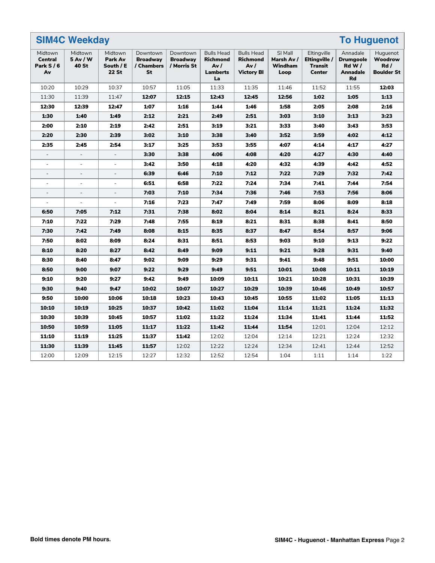|                                      | <b>SIM4C Weekday</b><br><b>To Huguenot</b> |                                                 |                                                 |                                            |                                                                      |                                                                  |                                          |                                                          |                                                                       |                                                  |
|--------------------------------------|--------------------------------------------|-------------------------------------------------|-------------------------------------------------|--------------------------------------------|----------------------------------------------------------------------|------------------------------------------------------------------|------------------------------------------|----------------------------------------------------------|-----------------------------------------------------------------------|--------------------------------------------------|
| Midtown<br>Central<br>Park S/6<br>Av | Midtown<br>5 Av / W<br>40 St               | Midtown<br><b>Park Av</b><br>South / E<br>22 St | Downtown<br><b>Broadway</b><br>/ Chambers<br>St | Downtown<br><b>Broadway</b><br>/ Morris St | <b>Bulls Head</b><br><b>Richmond</b><br>Av/<br><b>Lamberts</b><br>La | <b>Bulls Head</b><br><b>Richmond</b><br>Av/<br><b>Victory BI</b> | SI Mall<br>Marsh Av /<br>Windham<br>Loop | Eltingville<br>Eltingville /<br><b>Transit</b><br>Center | Annadale<br><b>Drumgoole</b><br><b>Rd W/</b><br><b>Annadale</b><br>Rd | Huguenot<br>Woodrow<br>Rd /<br><b>Boulder St</b> |
| 10:20                                | 10:29                                      | 10:37                                           | 10:57                                           | 11:05                                      | 11:33                                                                | 11:35                                                            | 11:46                                    | 11:52                                                    | 11:55                                                                 | 12:03                                            |
| 11:30                                | 11:39                                      | 11:47                                           | 12:07                                           | 12:15                                      | 12:43                                                                | 12:45                                                            | 12:56                                    | 1:02                                                     | 1:05                                                                  | 1:13                                             |
| 12:30                                | 12:39                                      | 12:47                                           | 1:07                                            | 1:16                                       | 1:44                                                                 | 1:46                                                             | 1:58                                     | 2:05                                                     | 2:08                                                                  | 2:16                                             |
| 1:30                                 | 1:40                                       | 1:49                                            | 2:12                                            | 2:21                                       | 2:49                                                                 | 2:51                                                             | 3:03                                     | 3:10                                                     | 3:13                                                                  | 3:23                                             |
| 2:00                                 | 2:10                                       | 2:19                                            | 2:42                                            | 2:51                                       | 3:19                                                                 | 3:21                                                             | 3:33                                     | 3:40                                                     | 3:43                                                                  | 3:53                                             |
| 2:20                                 | 2:30                                       | 2:39                                            | 3:02                                            | 3:10                                       | 3:38                                                                 | 3:40                                                             | 3:52                                     | 3:59                                                     | 4:02                                                                  | 4:12                                             |
| 2:35                                 | 2:45                                       | 2:54                                            | 3:17                                            | 3:25                                       | 3:53                                                                 | 3:55                                                             | 4:07                                     | 4:14                                                     | 4:17                                                                  | 4:27                                             |
|                                      |                                            |                                                 | 3:30                                            | 3:38                                       | 4:06                                                                 | 4:08                                                             | 4:20                                     | 4:27                                                     | 4:30                                                                  | 4:40                                             |
| $\sim$                               | $\overline{a}$                             | ÷,                                              | 3:42                                            | 3:50                                       | 4:18                                                                 | 4:20                                                             | 4:32                                     | 4:39                                                     | 4:42                                                                  | 4:52                                             |
| $\overline{\phantom{a}}$             | $\overline{\phantom{a}}$                   | $\overline{\phantom{a}}$                        | 6:39                                            | 6:46                                       | 7:10                                                                 | 7:12                                                             | 7:22                                     | 7:29                                                     | 7:32                                                                  | 7:42                                             |
| $\overline{\phantom{a}}$             | $\blacksquare$                             | $\blacksquare$                                  | 6:51                                            | 6:58                                       | 7:22                                                                 | 7:24                                                             | 7:34                                     | 7:41                                                     | 7:44                                                                  | 7:54                                             |
|                                      | ÷,                                         | $\bar{a}$                                       | 7:03                                            | 7:10                                       | 7:34                                                                 | 7:36                                                             | 7:46                                     | 7:53                                                     | 7:56                                                                  | 8:06                                             |
| $\bar{\phantom{a}}$                  | $\equiv$                                   | $\bar{\phantom{a}}$                             | 7:16                                            | 7:23                                       | 7:47                                                                 | 7:49                                                             | 7:59                                     | 8:06                                                     | 8:09                                                                  | 8:18                                             |
| 6:50                                 | 7:05                                       | 7:12                                            | 7:31                                            | 7:38                                       | 8:02                                                                 | 8:04                                                             | 8:14                                     | 8:21                                                     | 8:24                                                                  | 8:33                                             |
| 7:10                                 | 7:22                                       | 7:29                                            | 7:48                                            | 7:55                                       | 8:19                                                                 | 8:21                                                             | 8:31                                     | 8:38                                                     | 8:41                                                                  | 8:50                                             |
| 7:30                                 | 7:42                                       | 7:49                                            | 8:08                                            | 8:15                                       | 8:35                                                                 | 8:37                                                             | 8:47                                     | 8:54                                                     | 8:57                                                                  | 9:06                                             |
| 7:50                                 | 8:02                                       | 8:09                                            | 8:24                                            | 8:31                                       | 8:51                                                                 | 8:53                                                             | 9:03                                     | 9:10                                                     | 9:13                                                                  | 9:22                                             |
| 8:10                                 | 8:20                                       | 8:27                                            | 8:42                                            | 8:49                                       | 9:09                                                                 | 9:11                                                             | 9:21                                     | 9:28                                                     | 9:31                                                                  | 9:40                                             |
| 8:30                                 | 8:40                                       | 8:47                                            | 9:02                                            | 9:09                                       | 9:29                                                                 | 9:31                                                             | 9:41                                     | 9:48                                                     | 9:51                                                                  | 10:00                                            |
| 8:50                                 | 9:00                                       | 9:07                                            | 9:22                                            | 9:29                                       | 9:49                                                                 | 9:51                                                             | 10:01                                    | 10:08                                                    | 10:11                                                                 | 10:19                                            |
| 9:10                                 | 9:20                                       | 9:27                                            | 9:42                                            | 9:49                                       | 10:09                                                                | 10:11                                                            | 10:21                                    | 10:28                                                    | 10:31                                                                 | 10:39                                            |
| 9:30                                 | 9:40                                       | 9:47                                            | 10:02                                           | 10:07                                      | 10:27                                                                | 10:29                                                            | 10:39                                    | 10:46                                                    | 10:49                                                                 | 10:57                                            |
| 9:50                                 | 10:00                                      | 10:06                                           | 10:18                                           | 10:23                                      | 10:43                                                                | 10:45                                                            | 10:55                                    | 11:02                                                    | 11:05                                                                 | 11:13                                            |
| 10:10                                | 10:19                                      | 10:25                                           | 10:37                                           | 10:42                                      | 11:02                                                                | 11:04                                                            | 11:14                                    | 11:21                                                    | 11:24                                                                 | 11:32                                            |
| 10:30                                | 10:39                                      | 10:45                                           | 10:57                                           | 11:02                                      | 11:22                                                                | 11:24                                                            | 11:34                                    | 11:41                                                    | 11:44                                                                 | 11:52                                            |
| 10:50                                | 10:59                                      | 11:05                                           | 11:17                                           | 11:22                                      | 11:42                                                                | 11:44                                                            | 11:54                                    | 12:01                                                    | 12:04                                                                 | 12:12                                            |
| 11:10                                | 11:19                                      | 11:25                                           | 11:37                                           | 11:42                                      | 12:02                                                                | 12:04                                                            | 12:14                                    | 12:21                                                    | 12:24                                                                 | 12:32                                            |
| 11:30                                | 11:39                                      | 11:45                                           | 11:57                                           | 12:02                                      | 12:22                                                                | 12:24                                                            | 12:34                                    | 12:41                                                    | 12:44                                                                 | 12:52                                            |
| 12:00                                | 12:09                                      | 12:15                                           | 12:27                                           | 12:32                                      | 12:52                                                                | 12:54                                                            | 1:04                                     | 1:11                                                     | 1:14                                                                  | 1:22                                             |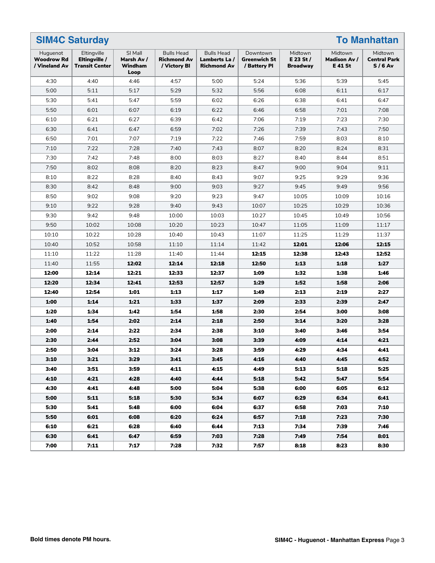|                                                | <b>SIM4C Saturday</b><br><b>To Manhattan</b>          |                                          |                                                         |                                                         |                                                 |                                           |                                                 |                                            |  |
|------------------------------------------------|-------------------------------------------------------|------------------------------------------|---------------------------------------------------------|---------------------------------------------------------|-------------------------------------------------|-------------------------------------------|-------------------------------------------------|--------------------------------------------|--|
| Huguenot<br><b>Woodrow Rd</b><br>/ Vineland Av | Eltingville<br>Eltingville /<br><b>Transit Center</b> | SI Mall<br>Marsh Av /<br>Windham<br>Loop | <b>Bulls Head</b><br><b>Richmond Av</b><br>/ Victory BI | <b>Bulls Head</b><br>Lamberts La/<br><b>Richmond Av</b> | Downtown<br><b>Greenwich St</b><br>/ Battery Pl | Midtown<br>$E$ 23 St /<br><b>Broadway</b> | Midtown<br><b>Madison Av /</b><br><b>E41 St</b> | Midtown<br><b>Central Park</b><br>$S/6$ Av |  |
| 4:30                                           | 4:40                                                  | 4:46                                     | 4:57                                                    | 5:00                                                    | 5:24                                            | 5:36                                      | 5:39                                            | 5:45                                       |  |
| 5:00                                           | 5:11                                                  | 5:17                                     | 5:29                                                    | 5:32                                                    | 5:56                                            | 6:08                                      | 6:11                                            | 6:17                                       |  |
| 5:30                                           | 5:41                                                  | 5:47                                     | 5:59                                                    | 6:02                                                    | 6:26                                            | 6:38                                      | 6:41                                            | 6:47                                       |  |
| 5:50                                           | 6:01                                                  | 6:07                                     | 6:19                                                    | 6:22                                                    | 6:46                                            | 6:58                                      | 7:01                                            | 7:08                                       |  |
| 6:10                                           | 6:21                                                  | 6:27                                     | 6:39                                                    | 6:42                                                    | 7:06                                            | 7:19                                      | 7:23                                            | 7:30                                       |  |
| 6:30                                           | 6:41                                                  | 6:47                                     | 6:59                                                    | 7:02                                                    | 7:26                                            | 7:39                                      | 7:43                                            | 7:50                                       |  |
| 6:50                                           | 7:01                                                  | 7:07                                     | 7:19                                                    | 7:22                                                    | 7:46                                            | 7:59                                      | 8:03                                            | 8:10                                       |  |
| 7:10                                           | 7:22                                                  | 7:28                                     | 7:40                                                    | 7:43                                                    | 8:07                                            | 8:20                                      | 8:24                                            | 8:31                                       |  |
| 7:30                                           | 7:42                                                  | 7:48                                     | 8:00                                                    | 8:03                                                    | 8:27                                            | 8:40                                      | 8:44                                            | 8:51                                       |  |
| 7:50                                           | 8:02                                                  | 8:08                                     | 8:20                                                    | 8:23                                                    | 8:47                                            | 9:00                                      | 9:04                                            | 9:11                                       |  |
| 8:10                                           | 8:22                                                  | 8:28                                     | 8:40                                                    | 8:43                                                    | 9:07                                            | 9:25                                      | 9:29                                            | 9:36                                       |  |
| 8:30                                           | 8:42                                                  | 8:48                                     | 9:00                                                    | 9:03                                                    | 9:27                                            | 9:45                                      | 9:49                                            | 9:56                                       |  |
| 8:50                                           | 9:02                                                  | 9:08                                     | 9:20                                                    | 9:23                                                    | 9:47                                            | 10:05                                     | 10:09                                           | 10:16                                      |  |
| 9:10                                           | 9:22                                                  | 9:28                                     | 9:40                                                    | 9:43                                                    | 10:07                                           | 10:25                                     | 10:29                                           | 10:36                                      |  |
| 9:30                                           | 9:42                                                  | 9:48                                     | 10:00                                                   | 10:03                                                   | 10:27                                           | 10:45                                     | 10:49                                           | 10:56                                      |  |
| 9:50                                           | 10:02                                                 | 10:08                                    | 10:20                                                   | 10:23                                                   | 10:47                                           | 11:05                                     | 11:09                                           | 11:17                                      |  |
| 10:10                                          | 10:22                                                 | 10:28                                    | 10:40                                                   | 10:43                                                   | 11:07                                           | 11:25                                     | 11:29                                           | 11:37                                      |  |
| 10:40                                          | 10:52                                                 | 10:58                                    | 11:10                                                   | 11:14                                                   | 11:42                                           | 12:01                                     | 12:06                                           | 12:15                                      |  |
| 11:10                                          | 11:22                                                 | 11:28                                    | 11:40                                                   | 11:44                                                   | 12:15                                           | 12:38                                     | 12:43                                           | 12:52                                      |  |
| 11:40                                          | 11:55                                                 | 12:02                                    | 12:14                                                   | 12:18                                                   | 12:50                                           | 1:13                                      | 1:18                                            | 1:27                                       |  |
| 12:00                                          | 12:14                                                 | 12:21                                    | 12:33                                                   | 12:37                                                   | 1:09                                            | 1:32                                      | 1:38                                            | 1:46                                       |  |
| 12:20                                          | 12:34                                                 | 12:41                                    | 12:53                                                   | 12:57                                                   | 1:29                                            | 1:52                                      | 1:58                                            | 2:06                                       |  |
| 12:40                                          | 12:54                                                 | 1:01                                     | 1:13                                                    | 1:17                                                    | 1:49                                            | 2:13                                      | 2:19                                            | 2:27                                       |  |
| 1:00                                           | 1:14                                                  | 1:21                                     | 1:33                                                    | 1:37                                                    | 2:09                                            | 2:33                                      | 2:39                                            | 2:47                                       |  |
| 1:20                                           | 1:34                                                  | 1:42                                     | 1:54                                                    | 1:58                                                    | 2:30                                            | 2:54                                      | 3:00                                            | 3:08                                       |  |
| 1:40                                           | 1:54                                                  | 2:02                                     | 2:14                                                    | 2:18                                                    | 2:50                                            | 3:14                                      | 3:20                                            | 3:28                                       |  |
| 2:00                                           | 2:14                                                  | 2:22                                     | 2:34                                                    | 2:38                                                    | 3:10                                            | 3:40                                      | 3:46                                            | 3:54                                       |  |
| 2:30                                           | 2:44                                                  | 2:52                                     | 3:04                                                    | 3:08                                                    | 3:39                                            | 4:09                                      | 4:14                                            | 4:21                                       |  |
| 2:50                                           | 3:04                                                  | 3:12                                     | 3:24                                                    | 3:28                                                    | 3:59                                            | 4:29                                      | 4:34                                            | 4:41                                       |  |
| 3:10                                           | 3:21                                                  | 3:29                                     | 3:41                                                    | 3:45                                                    | 4:16                                            | 4:40                                      | 4:45                                            | 4:52                                       |  |
| 3:40                                           | 3:51                                                  | 3:59                                     | 4:11                                                    | 4:15                                                    | 4:49                                            | 5:13                                      | 5:18                                            | 5:25                                       |  |
| 4:10                                           | 4:21                                                  | 4:28                                     | 4:40                                                    | 4:44                                                    | 5:18                                            | 5:42                                      | 5:47                                            | 5:54                                       |  |
| 4:30                                           | 4:41                                                  | 4:48                                     | 5:00                                                    | 5:04                                                    | 5:38                                            | 6:00                                      | 6:05                                            | 6:12                                       |  |
| 5:00                                           | 5:11                                                  | 5:18                                     | 5:30                                                    | 5:34                                                    | 6:07                                            | 6:29                                      | 6:34                                            | 6:41                                       |  |
| 5:30                                           | 5:41                                                  | 5:48                                     | 6:00                                                    | 6:04                                                    | 6:37                                            | 6:58                                      | 7:03                                            | 7:10                                       |  |
| 5:50                                           | 6:01                                                  | 6:08                                     | 6:20                                                    | 6:24                                                    | 6:57                                            | 7:18                                      | 7:23                                            | 7:30                                       |  |
| 6:10                                           | 6:21                                                  | 6:28                                     | 6:40                                                    | 6:44                                                    | 7:13                                            | 7:34                                      | 7:39                                            | 7:46                                       |  |
| 6:30                                           | 6:41                                                  | 6:47                                     | 6:59                                                    | 7:03                                                    | 7:28                                            | 7:49                                      | 7:54                                            | 8:01                                       |  |
| 7:00                                           | 7:11                                                  | 7:17                                     | 7:28                                                    | 7:32                                                    | 7:57                                            | 8:18                                      | 8:23                                            | 8:30                                       |  |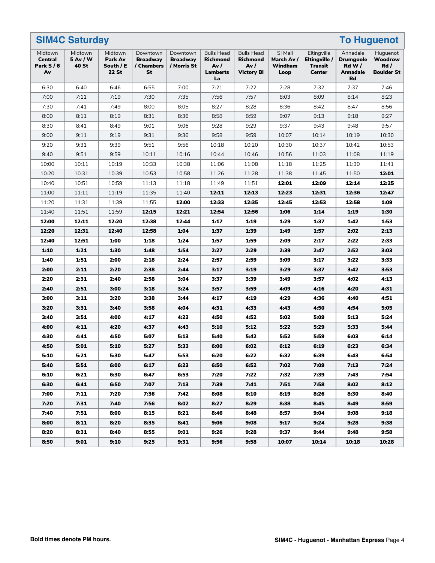|                                             | <b>SIM4C Saturday</b><br><b>To Huguenot</b> |                                                 |                                                 |                                            |                                                                       |                                                            |                                          |                                                          |                                                                     |                                                  |
|---------------------------------------------|---------------------------------------------|-------------------------------------------------|-------------------------------------------------|--------------------------------------------|-----------------------------------------------------------------------|------------------------------------------------------------|------------------------------------------|----------------------------------------------------------|---------------------------------------------------------------------|--------------------------------------------------|
| Midtown<br><b>Central</b><br>Park S/6<br>Av | Midtown<br>5 Av / W<br>40 St                | Midtown<br>Park Av<br>South / E<br><b>22 St</b> | Downtown<br><b>Broadway</b><br>/ Chambers<br>St | Downtown<br><b>Broadway</b><br>/ Morris St | <b>Bulls Head</b><br><b>Richmond</b><br>Av /<br><b>Lamberts</b><br>La | <b>Bulls Head</b><br>Richmond<br>Av /<br><b>Victory BI</b> | SI Mall<br>Marsh Av /<br>Windham<br>Loop | Eltingville<br>Eltingville /<br>Transit<br><b>Center</b> | Annadale<br><b>Drumgoole</b><br>$Rd$ W $/$<br><b>Annadale</b><br>Rd | Huguenot<br>Woodrow<br>Rd /<br><b>Boulder St</b> |
| 6:30                                        | 6:40                                        | 6:46                                            | 6:55                                            | 7:00                                       | 7:21                                                                  | 7:22                                                       | 7:28                                     | 7:32                                                     | 7:37                                                                | 7:46                                             |
| 7:00                                        | 7:11                                        | 7:19                                            | 7:30                                            | 7:35                                       | 7:56                                                                  | 7:57                                                       | 8:03                                     | 8:09                                                     | 8:14                                                                | 8:23                                             |
| 7:30                                        | 7:41                                        | 7:49                                            | 8:00                                            | 8:05                                       | 8:27                                                                  | 8:28                                                       | 8:36                                     | 8:42                                                     | 8:47                                                                | 8:56                                             |
| 8:00                                        | 8:11                                        | 8:19                                            | 8:31                                            | 8:36                                       | 8:58                                                                  | 8:59                                                       | 9:07                                     | 9:13                                                     | 9:18                                                                | 9:27                                             |
| 8:30                                        | 8:41                                        | 8:49                                            | 9:01                                            | 9:06                                       | 9:28                                                                  | 9:29                                                       | 9:37                                     | 9:43                                                     | 9:48                                                                | 9:57                                             |
| 9:00                                        | 9:11                                        | 9:19                                            | 9:31                                            | 9:36                                       | 9:58                                                                  | 9:59                                                       | 10:07                                    | 10:14                                                    | 10:19                                                               | 10:30                                            |
| 9:20                                        | 9:31                                        | 9:39                                            | 9:51                                            | 9:56                                       | 10:18                                                                 | 10:20                                                      | 10:30                                    | 10:37                                                    | 10:42                                                               | 10:53                                            |
| 9:40                                        | 9:51                                        | 9:59                                            | 10:11                                           | 10:16                                      | 10:44                                                                 | 10:46                                                      | 10:56                                    | 11:03                                                    | 11:08                                                               | 11:19                                            |
| 10:00                                       | 10:11                                       | 10:19                                           | 10:33                                           | 10:38                                      | 11:06                                                                 | 11:08                                                      | 11:18                                    | 11:25                                                    | 11:30                                                               | 11:41                                            |
| 10:20                                       | 10:31                                       | 10:39                                           | 10:53                                           | 10:58                                      | 11:26                                                                 | 11:28                                                      | 11:38                                    | 11:45                                                    | 11:50                                                               | 12:01                                            |
| 10:40                                       | 10:51                                       | 10:59                                           | 11:13                                           | 11:18                                      | 11:49                                                                 | 11:51                                                      | 12:01                                    | 12:09                                                    | 12:14                                                               | 12:25                                            |
| 11:00                                       | 11:11                                       | 11:19                                           | 11:35                                           | 11:40                                      | 12:11                                                                 | 12:13                                                      | 12:23                                    | 12:31                                                    | 12:36                                                               | 12:47                                            |
| 11:20                                       | 11:31                                       | 11:39                                           | 11:55                                           | 12:00                                      | 12:33                                                                 | 12:35                                                      | 12:45                                    | 12:53                                                    | 12:58                                                               | 1:09                                             |
| 11:40                                       | 11:51                                       | 11:59                                           | 12:15                                           | 12:21                                      | 12:54                                                                 | 12:56                                                      | 1:06                                     | 1:14                                                     | 1:19                                                                | 1:30                                             |
| 12:00                                       | 12:11                                       | 12:20                                           | 12:38                                           | 12:44                                      | 1:17                                                                  | 1:19                                                       | 1:29                                     | 1:37                                                     | 1:42                                                                | 1:53                                             |
| 12:20                                       | 12:31                                       | 12:40                                           | 12:58                                           | 1:04                                       | 1:37                                                                  | 1:39                                                       | 1:49                                     | 1:57                                                     | 2:02                                                                | 2:13                                             |
| 12:40                                       | 12:51                                       | 1:00                                            | 1:18                                            | 1:24                                       | 1:57                                                                  | 1:59                                                       | 2:09                                     | 2:17                                                     | 2:22                                                                | 2:33                                             |
| 1:10                                        | 1:21                                        | 1:30                                            | 1:48                                            | 1:54                                       | 2:27                                                                  | 2:29                                                       | 2:39                                     | 2:47                                                     | 2:52                                                                | 3:03                                             |
| 1:40                                        | 1:51                                        | 2:00                                            | 2:18                                            | 2:24                                       | 2:57                                                                  | 2:59                                                       | 3:09                                     | 3:17                                                     | 3:22                                                                | 3:33                                             |
| 2:00                                        | 2:11                                        | 2:20                                            | 2:38                                            | 2:44                                       | 3:17                                                                  | 3:19                                                       | 3:29                                     | 3:37                                                     | 3:42                                                                | 3:53                                             |
| 2:20                                        | 2:31                                        | 2:40                                            | 2:58                                            | 3:04                                       | 3:37                                                                  | 3:39                                                       | 3:49                                     | 3:57                                                     | 4:02                                                                | 4:13                                             |
| 2:40                                        | 2:51                                        | 3:00                                            | 3:18                                            | 3:24                                       | 3:57                                                                  | 3:59                                                       | 4:09                                     | 4:16                                                     | 4:20                                                                | 4:31                                             |
| 3:00                                        | 3:11                                        | 3:20                                            | 3:38                                            | 3:44                                       | 4:17                                                                  | 4:19                                                       | 4:29                                     | 4:36                                                     | 4:40                                                                | 4:51                                             |
| 3:20                                        | 3:31                                        | 3:40                                            | 3:58                                            | 4:04                                       | 4:31                                                                  | 4:33                                                       | 4:43                                     | 4:50                                                     | 4:54                                                                | 5:05                                             |
| 3:40                                        | 3:51                                        | 4:00                                            | 4:17                                            | 4:23                                       | 4:50                                                                  | 4:52                                                       | 5:02                                     | 5:09                                                     | 5:13                                                                | 5:24                                             |
| 4:00                                        | 4:11                                        | 4:20                                            | 4:37                                            | 4:43                                       | 5:10                                                                  | 5:12                                                       | 5:22                                     | 5:29                                                     | 5:33                                                                | 5:44                                             |
| 4:30                                        | 4:41                                        | 4:50                                            | 5:07                                            | 5:13                                       | 5:40                                                                  | 5:42                                                       | 5:52                                     | 5:59                                                     | 6:03                                                                | 6:14                                             |
| 4:50                                        | 5:01                                        | 5:10                                            | 5:27                                            | 5:33                                       | 6:00                                                                  | 6:02                                                       | 6:12                                     | 6:19                                                     | 6:23                                                                | 6:34                                             |
| 5:10                                        | 5:21                                        | 5:30                                            | 5:47                                            | 5:53                                       | 6:20                                                                  | 6:22                                                       | 6:32                                     | 6:39                                                     | 6:43                                                                | 6:54                                             |
| 5:40                                        | 5:51                                        | 6:00                                            | 6:17                                            | 6:23                                       | 6:50                                                                  | 6:52                                                       | 7:02                                     | 7:09                                                     | 7:13                                                                | 7:24                                             |
| 6:10                                        | 6:21                                        | 6:30                                            | 6:47                                            | 6:53                                       | 7:20                                                                  | 7:22                                                       | 7:32                                     | 7:39                                                     | 7:43                                                                | 7:54                                             |
| 6:30                                        | 6:41                                        | 6:50                                            | 7:07                                            | 7:13                                       | 7:39                                                                  | 7:41                                                       | 7:51                                     | 7:58                                                     | 8:02                                                                | 8:12                                             |
| 7:00                                        | 7:11                                        | 7:20                                            | 7:36                                            | 7:42                                       | 8:08                                                                  | 8:10                                                       | 8:19                                     | 8:26                                                     | 8:30                                                                | 8:40                                             |
| 7:20                                        | 7:31                                        | 7:40                                            | 7:56                                            | 8:02                                       | 8:27                                                                  | 8:29                                                       | 8:38                                     | 8:45                                                     | 8:49                                                                | 8:59                                             |
| 7:40                                        | 7:51                                        | 8:00                                            | 8:15                                            | 8:21                                       | 8:46                                                                  | 8:48                                                       | 8:57                                     | 9:04                                                     | 9:08                                                                | 9:18                                             |
| 8:00                                        | 8:11                                        | 8:20                                            | 8:35                                            | 8:41                                       | 9:06                                                                  | 9:08                                                       | 9:17                                     | 9:24                                                     | 9:28                                                                | 9:38                                             |
| 8:20                                        | 8:31                                        | 8:40                                            | 8:55                                            | 9:01                                       | 9:26                                                                  | 9:28                                                       | 9:37                                     | 9:44                                                     | 9:48                                                                | 9:58                                             |
| 8:50                                        | 9:01                                        | 9:10                                            | 9:25                                            | 9:31                                       | 9:56                                                                  | 9:58                                                       | 10:07                                    | 10:14                                                    | 10:18                                                               | 10:28                                            |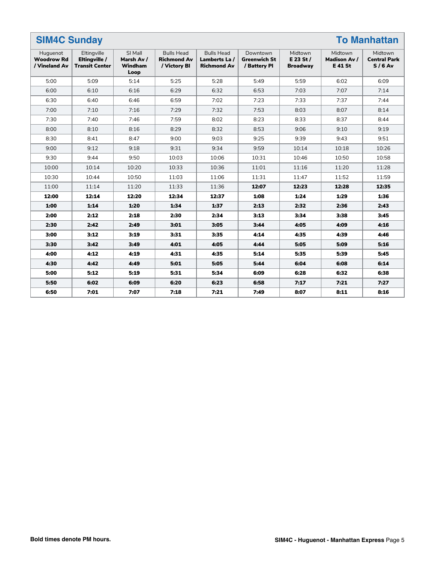|                                                | <b>SIM4C Sunday</b><br><b>To Manhattan</b>            |                                                 |                                                         |                                                          |                                                 |                                         |                                                 |                                            |  |  |
|------------------------------------------------|-------------------------------------------------------|-------------------------------------------------|---------------------------------------------------------|----------------------------------------------------------|-------------------------------------------------|-----------------------------------------|-------------------------------------------------|--------------------------------------------|--|--|
| Huguenot<br><b>Woodrow Rd</b><br>/ Vineland Av | Eltingville<br>Eltingville /<br><b>Transit Center</b> | SI Mall<br>Marsh Av /<br><b>Windham</b><br>Loop | <b>Bulls Head</b><br><b>Richmond Av</b><br>/ Victory BI | <b>Bulls Head</b><br>Lamberts La /<br><b>Richmond Av</b> | Downtown<br><b>Greenwich St</b><br>/ Battery Pl | Midtown<br>E 23 St /<br><b>Broadway</b> | Midtown<br><b>Madison Av /</b><br><b>E41 St</b> | Midtown<br><b>Central Park</b><br>$S/6$ Av |  |  |
| 5:00                                           | 5:09                                                  | 5:14                                            | 5:25                                                    | 5:28                                                     | 5:49                                            | 5:59                                    | 6:02                                            | 6:09                                       |  |  |
| 6:00                                           | 6:10                                                  | 6:16                                            | 6:29                                                    | 6:32                                                     | 6:53                                            | 7:03                                    | 7:07                                            | 7:14                                       |  |  |
| 6:30                                           | 6:40                                                  | 6:46                                            | 6:59                                                    | 7:02                                                     | 7:23                                            | 7:33                                    | 7:37                                            | 7:44                                       |  |  |
| 7:00                                           | 7:10                                                  | 7:16                                            | 7:29                                                    | 7:32                                                     | 7:53                                            | 8:03                                    | 8:07                                            | 8:14                                       |  |  |
| 7:30                                           | 7:40                                                  | 7:46                                            | 7:59                                                    | 8:02                                                     | 8:23                                            | 8:33                                    | 8:37                                            | 8:44                                       |  |  |
| 8:00                                           | 8:10                                                  | 8:16                                            | 8:29                                                    | 8:32                                                     | 8:53                                            | 9:06                                    | 9:10                                            | 9:19                                       |  |  |
| 8:30                                           | 8:41                                                  | 8:47                                            | 9:00                                                    | 9:03                                                     | 9:25                                            | 9:39                                    | 9:43                                            | 9:51                                       |  |  |
| 9:00                                           | 9:12                                                  | 9:18                                            | 9:31                                                    | 9:34                                                     | 9:59                                            | 10:14                                   | 10:18                                           | 10:26                                      |  |  |
| 9:30                                           | 9:44                                                  | 9:50                                            | 10:03                                                   | 10:06                                                    | 10:31                                           | 10:46                                   | 10:50                                           | 10:58                                      |  |  |
| 10:00                                          | 10:14                                                 | 10:20                                           | 10:33                                                   | 10:36                                                    | 11:01                                           | 11:16                                   | 11:20                                           | 11:28                                      |  |  |
| 10:30                                          | 10:44                                                 | 10:50                                           | 11:03                                                   | 11:06                                                    | 11:31                                           | 11:47                                   | 11:52                                           | 11:59                                      |  |  |
| 11:00                                          | 11:14                                                 | 11:20                                           | 11:33                                                   | 11:36                                                    | 12:07                                           | 12:23                                   | 12:28                                           | 12:35                                      |  |  |
| 12:00                                          | 12:14                                                 | 12:20                                           | 12:34                                                   | 12:37                                                    | 1:08                                            | 1:24                                    | 1:29                                            | 1:36                                       |  |  |
| 1:00                                           | 1:14                                                  | 1:20                                            | 1:34                                                    | 1:37                                                     | 2:13                                            | 2:32                                    | 2:36                                            | 2:43                                       |  |  |
| 2:00                                           | 2:12                                                  | 2:18                                            | 2:30                                                    | 2:34                                                     | 3:13                                            | 3:34                                    | 3:38                                            | 3:45                                       |  |  |
| 2:30                                           | 2:42                                                  | 2:49                                            | 3:01                                                    | 3:05                                                     | 3:44                                            | 4:05                                    | 4:09                                            | 4:16                                       |  |  |
| 3:00                                           | 3:12                                                  | 3:19                                            | 3:31                                                    | 3:35                                                     | 4:14                                            | 4:35                                    | 4:39                                            | 4:46                                       |  |  |
| 3:30                                           | 3:42                                                  | 3:49                                            | 4:01                                                    | 4:05                                                     | 4:44                                            | 5:05                                    | 5:09                                            | 5:16                                       |  |  |
| 4:00                                           | 4:12                                                  | 4:19                                            | 4:31                                                    | 4:35                                                     | 5:14                                            | 5:35                                    | 5:39                                            | 5:45                                       |  |  |
| 4:30                                           | 4:42                                                  | 4:49                                            | 5:01                                                    | 5:05                                                     | 5:44                                            | 6:04                                    | 6:08                                            | 6:14                                       |  |  |
| 5:00                                           | 5:12                                                  | 5:19                                            | 5:31                                                    | 5:34                                                     | 6:09                                            | 6:28                                    | 6:32                                            | 6:38                                       |  |  |
| 5:50                                           | 6:02                                                  | 6:09                                            | 6:20                                                    | 6:23                                                     | 6:58                                            | 7:17                                    | 7:21                                            | 7:27                                       |  |  |
| 6:50                                           | 7:01                                                  | 7:07                                            | 7:18                                                    | 7:21                                                     | 7:49                                            | 8:07                                    | 8:11                                            | 8:16                                       |  |  |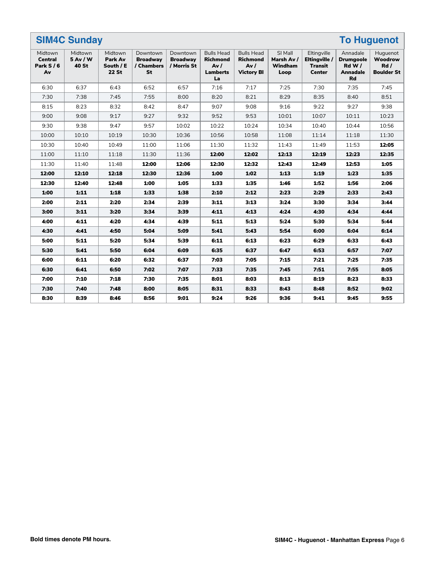| <b>SIM4C Sunday</b><br><b>To Huguenot</b>   |                                     |                                                 |                                                 |                                            |                                                                      |                                                                  |                                          |                                                                 |                                                                       |                                                 |
|---------------------------------------------|-------------------------------------|-------------------------------------------------|-------------------------------------------------|--------------------------------------------|----------------------------------------------------------------------|------------------------------------------------------------------|------------------------------------------|-----------------------------------------------------------------|-----------------------------------------------------------------------|-------------------------------------------------|
| Midtown<br><b>Central</b><br>Park S/6<br>Av | Midtown<br>5 Av / W<br><b>40 St</b> | Midtown<br>Park Av<br>South / E<br><b>22 St</b> | Downtown<br><b>Broadway</b><br>/ Chambers<br>St | Downtown<br><b>Broadway</b><br>/ Morris St | <b>Bulls Head</b><br><b>Richmond</b><br>Av/<br><b>Lamberts</b><br>La | <b>Bulls Head</b><br><b>Richmond</b><br>Av/<br><b>Victory BI</b> | SI Mall<br>Marsh Av /<br>Windham<br>Loop | Eltingville<br>Eltingville /<br><b>Transit</b><br><b>Center</b> | Annadale<br><b>Drumgoole</b><br>Rd W/<br><b>Annadale</b><br><b>Rd</b> | Huguenot<br>Woodrow<br>Rd/<br><b>Boulder St</b> |
| 6:30                                        | 6:37                                | 6:43                                            | 6:52                                            | 6:57                                       | 7:16                                                                 | 7:17                                                             | 7:25                                     | 7:30                                                            | 7:35                                                                  | 7:45                                            |
| 7:30                                        | 7:38                                | 7:45                                            | 7:55                                            | 8:00                                       | 8:20                                                                 | 8:21                                                             | 8:29                                     | 8:35                                                            | 8:40                                                                  | 8:51                                            |
| 8:15                                        | 8:23                                | 8:32                                            | 8:42                                            | 8:47                                       | 9:07                                                                 | 9:08                                                             | 9:16                                     | 9:22                                                            | 9:27                                                                  | 9:38                                            |
| 9:00                                        | 9:08                                | 9:17                                            | 9:27                                            | 9:32                                       | 9:52                                                                 | 9:53                                                             | 10:01                                    | 10:07                                                           | 10:11                                                                 | 10:23                                           |
| 9:30                                        | 9:38                                | 9:47                                            | 9:57                                            | 10:02                                      | 10:22                                                                | 10:24                                                            | 10:34                                    | 10:40                                                           | 10:44                                                                 | 10:56                                           |
| 10:00                                       | 10:10                               | 10:19                                           | 10:30                                           | 10:36                                      | 10:56                                                                | 10:58                                                            | 11:08                                    | 11:14                                                           | 11:18                                                                 | 11:30                                           |
| 10:30                                       | 10:40                               | 10:49                                           | 11:00                                           | 11:06                                      | 11:30                                                                | 11:32                                                            | 11:43                                    | 11:49                                                           | 11:53                                                                 | 12:05                                           |
| 11:00                                       | 11:10                               | 11:18                                           | 11:30                                           | 11:36                                      | 12:00                                                                | 12:02                                                            | 12:13                                    | 12:19                                                           | 12:23                                                                 | 12:35                                           |
| 11:30                                       | 11:40                               | 11:48                                           | 12:00                                           | 12:06                                      | 12:30                                                                | 12:32                                                            | 12:43                                    | 12:49                                                           | 12:53                                                                 | 1:05                                            |
| 12:00                                       | 12:10                               | 12:18                                           | 12:30                                           | 12:36                                      | 1:00                                                                 | 1:02                                                             | 1:13                                     | 1:19                                                            | 1:23                                                                  | 1:35                                            |
| 12:30                                       | 12:40                               | 12:48                                           | 1:00                                            | 1:05                                       | 1:33                                                                 | 1:35                                                             | 1:46                                     | 1:52                                                            | 1:56                                                                  | 2:06                                            |
| 1:00                                        | 1:11                                | 1:18                                            | 1:33                                            | 1:38                                       | 2:10                                                                 | 2:12                                                             | 2:23                                     | 2:29                                                            | 2:33                                                                  | 2:43                                            |
| 2:00                                        | 2:11                                | 2:20                                            | 2:34                                            | 2:39                                       | 3:11                                                                 | 3:13                                                             | 3:24                                     | 3:30                                                            | 3:34                                                                  | 3:44                                            |
| 3:00                                        | 3:11                                | 3:20                                            | 3:34                                            | 3:39                                       | 4:11                                                                 | 4:13                                                             | 4:24                                     | 4:30                                                            | 4:34                                                                  | 4:44                                            |
| 4:00                                        | 4:11                                | 4:20                                            | 4:34                                            | 4:39                                       | 5:11                                                                 | 5:13                                                             | 5:24                                     | 5:30                                                            | 5:34                                                                  | 5:44                                            |
| 4:30                                        | 4:41                                | 4:50                                            | 5:04                                            | 5:09                                       | 5:41                                                                 | 5:43                                                             | 5:54                                     | 6:00                                                            | 6:04                                                                  | 6:14                                            |
| 5:00                                        | 5:11                                | 5:20                                            | 5:34                                            | 5:39                                       | 6:11                                                                 | 6:13                                                             | 6:23                                     | 6:29                                                            | 6:33                                                                  | 6:43                                            |
| 5:30                                        | 5:41                                | 5:50                                            | 6:04                                            | 6:09                                       | 6:35                                                                 | 6:37                                                             | 6:47                                     | 6:53                                                            | 6:57                                                                  | 7:07                                            |
| 6:00                                        | 6:11                                | 6:20                                            | 6:32                                            | 6:37                                       | 7:03                                                                 | 7:05                                                             | 7:15                                     | 7:21                                                            | 7:25                                                                  | 7:35                                            |
| 6:30                                        | 6:41                                | 6:50                                            | 7:02                                            | 7:07                                       | 7:33                                                                 | 7:35                                                             | 7:45                                     | 7:51                                                            | 7:55                                                                  | 8:05                                            |
| 7:00                                        | 7:10                                | 7:18                                            | 7:30                                            | 7:35                                       | 8:01                                                                 | 8:03                                                             | 8:13                                     | 8:19                                                            | 8:23                                                                  | 8:33                                            |
| 7:30                                        | 7:40                                | 7:48                                            | 8:00                                            | 8:05                                       | 8:31                                                                 | 8:33                                                             | 8:43                                     | 8:48                                                            | 8:52                                                                  | 9:02                                            |
| 8:30                                        | 8:39                                | 8:46                                            | 8:56                                            | 9:01                                       | 9:24                                                                 | 9:26                                                             | 9:36                                     | 9:41                                                            | 9:45                                                                  | 9:55                                            |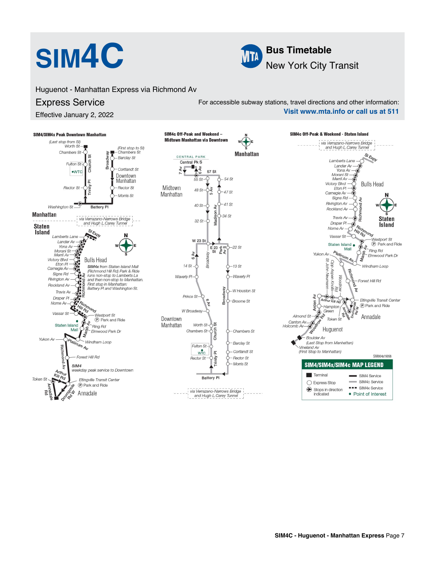

Huguenot - Manhattan Express via Richmond Av

## Express Service

Effective January 2, 2022

For accessible subway stations, travel directions and other information: **Visit www.mta.info or call us at 511**

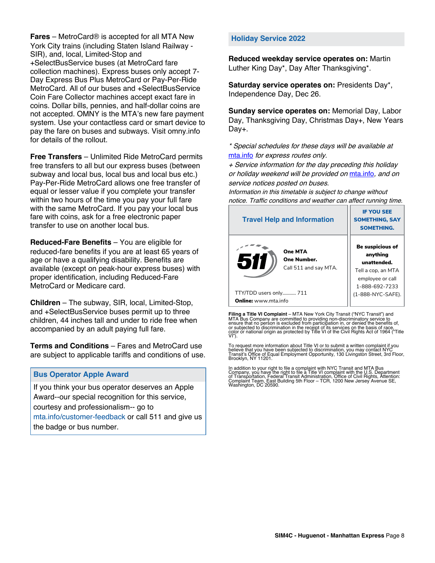**Fares** – MetroCard® is accepted for all MTA New York City trains (including Staten Island Railway - SIR), and, local, Limited-Stop and +SelectBusService buses (at MetroCard fare collection machines). Express buses only accept 7- Day Express Bus Plus MetroCard or Pay-Per-Ride MetroCard. All of our buses and +SelectBusService Coin Fare Collector machines accept exact fare in coins. Dollar bills, pennies, and half-dollar coins are not accepted. OMNY is the MTA's new fare payment system. Use your contactless card or smart device to pay the fare on buses and subways. Visit omny.info for details of the rollout.

**Free Transfers** – Unlimited Ride MetroCard permits free transfers to all but our express buses (between subway and local bus, local bus and local bus etc.) Pay-Per-Ride MetroCard allows one free transfer of equal or lesser value if you complete your transfer within two hours of the time you pay your full fare with the same MetroCard. If you pay your local bus fare with coins, ask for a free electronic paper transfer to use on another local bus.

**Reduced-Fare Benefits** – You are eligible for reduced-fare benefits if you are at least 65 years of age or have a qualifying disability. Benefits are available (except on peak-hour express buses) with proper identification, including Reduced-Fare MetroCard or Medicare card.

**Children** – The subway, SIR, local, Limited-Stop, and +SelectBusService buses permit up to three children, 44 inches tall and under to ride free when accompanied by an adult paying full fare.

**Terms and Conditions** – Fares and MetroCard use are subject to applicable tariffs and conditions of use.

### **Bus Operator Apple Award**

If you think your bus operator deserves an Apple Award--our special recognition for this service, courtesy and professionalism-- go to mta.info/customer-feedback or call 511 and give us the badge or bus number.

#### **Holiday Service 2022**

**Reduced weekday service operates on:** Martin Luther King Day\*, Day After Thanksgiving\*.

**Saturday service operates on:** Presidents Day\*, Independence Day, Dec 26.

**Sunday service operates on:** Memorial Day, Labor Day, Thanksgiving Day, Christmas Day+, New Years Day+.

\* Special schedules for these days will be available at [mta.info](https://new.mta.info/) for express routes only.

+ Service information for the day preceding this holiday or holiday weekend will be provided on [mta.info](https://new.mta.info/), and on service notices posted on buses.

Information in this timetable is subject to change without notice. Traffic conditions and weather can affect running time.

| <b>Travel Help and Information</b>                     | <b>IF YOU SEE</b><br><b>SOMETHING, SAY</b><br><b>SOMETHING.</b>                                                |  |  |  |
|--------------------------------------------------------|----------------------------------------------------------------------------------------------------------------|--|--|--|
| One MTA<br>511<br>One Number.<br>Call 511 and say MTA. | <b>Be suspicious of</b><br>anything<br>unattended.<br>Tell a cop, an MTA<br>employee or call<br>1-888-692-7233 |  |  |  |
| TTY/TDD users only 711                                 | (1-888-NYC-SAFE).                                                                                              |  |  |  |
| <b>Online:</b> www.mta.info                            |                                                                                                                |  |  |  |

**Filing a Title VI Complaint** – MTA New York City Transit ("NYC Transit") and<br>MTA Bus Company are committed to providing non-discriminatory service to<br>ensure that no person is excluded from participation in, or denied the

To request more information about Title VI or to submit a written complaint if you believe that you have been subjected to discrimination, you may contact NYC<br>Transit's Office of Equal Employment Opportunity, 130 Livingston Street, 3rd Floor,<br>Brooklyn, NY 11201.

In addition to your right to file a complaint with NYC Transit and MTA Bus<br>Company, you have the right to file a Title VI complaint with the U.S. Department<br>of Transportation, Federal Transit Administration, Office of Civi